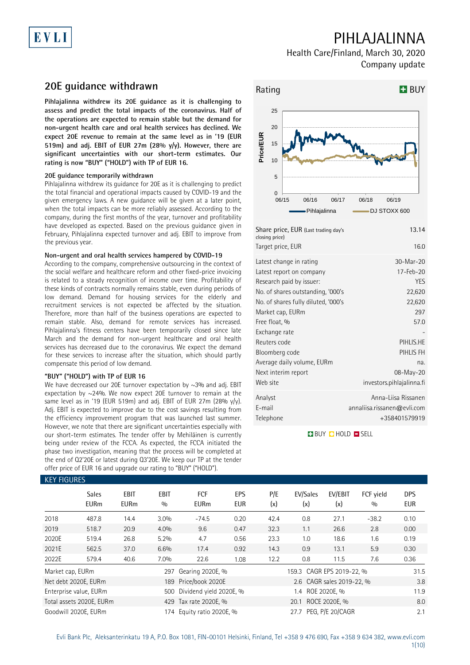# EVLI

## PIHLAJALINNA

Health Care/Finland, March 30, 2020 Company update

### **20E guidance withdrawn**

**Pihlajalinna withdrew its 20E guidance as it is challenging to assess and predict the total impacts of the coronavirus. Half of the operations are expected to remain stable but the demand for non-urgent health care and oral health services has declined. We expect 20E revenue to remain at the same level as in '19 (EUR 519m) and adj. EBIT of EUR 27m (28% y/y). However, there are significant uncertainties with our short-term estimates. Our rating is now "BUY" ("HOLD") with TP of EUR 16.** 

### **20E guidance temporarily withdrawn**

Pihlajalinna withdrew its guidance for 20E as it is challenging to predict the total financial and operational impacts caused by COVID-19 and the given emergency laws. A new guidance will be given at a later point, when the total impacts can be more reliably assessed. According to the company, during the first months of the year, turnover and profitability have developed as expected. Based on the previous guidance given in February, Pihlajalinna expected turnover and adj. EBIT to improve from the previous year.

### **Non-urgent and oral health services hampered by COVID-19**

According to the company, comprehensive outsourcing in the context of the social welfare and healthcare reform and other fixed-price invoicing is related to a steady recognition of income over time. Profitability of these kinds of contracts normally remains stable, even during periods of low demand. Demand for housing services for the elderly and recruitment services is not expected be affected by the situation. Therefore, more than half of the business operations are expected to remain stable. Also, demand for remote services has increased. Pihlajalinna's fitness centers have been temporarily closed since late March and the demand for non-urgent healthcare and oral health services has decreased due to the coronavirus. We expect the demand for these services to increase after the situation, which should partly compensate this period of low demand.

### **"BUY" ("HOLD") with TP of EUR 16**

We have decreased our 20E turnover expectation by ~3% and adj. EBIT expectation by ~24%. We now expect 20E turnover to remain at the same level as in '19 (EUR 519m) and adj. EBIT of EUR 27m (28%  $y/y$ ). Adj. EBIT is expected to improve due to the cost savings resulting from the efficiency improvement program that was launched last summer. However, we note that there are significant uncertainties especially with our short-term estimates. The tender offer by Mehiläinen is currently being under review of the FCCA. As expected, the FCCA initiated the phase two investigation, meaning that the process will be completed at the end of Q2'20E or latest during Q3'20E. We keep our TP at the tender offer price of EUR 16 and upgrade our rating to "BUY" ("HOLD").



| Share price, EUR (Last trading day's<br>closing price) | 13.14                       |
|--------------------------------------------------------|-----------------------------|
| Target price, EUR                                      | 16.0                        |
| Latest change in rating                                | 30-Mar-20                   |
| Latest report on company                               | $17$ -Feb-20                |
| Research paid by issuer:                               | YES                         |
| No. of shares outstanding, '000's                      | 22,620                      |
| No. of shares fully diluted, '000's                    | 22,620                      |
| Market cap, EURm                                       | 297                         |
| Free float, %                                          | 57.0                        |
| Exchange rate                                          |                             |
| Reuters code                                           | PIHLIS.HE                   |
| Bloomberg code                                         | PIHLIS FH                   |
| Average daily volume, EURm                             | na.                         |
| Next interim report                                    | 08-May-20                   |
| Web site                                               | investors.pihlajalinna.fi   |
| Analyst                                                | Anna-Liisa Rissanen         |
| E-mail                                                 | annaliisa.rissanen@evli.com |
| Telephone                                              | +358401579919               |
|                                                        |                             |

**BUY CHOLD SELL** 

| KET FIUURES      |                             |                     |                    |                             |                   |            |                           |                |                  |                          |
|------------------|-----------------------------|---------------------|--------------------|-----------------------------|-------------------|------------|---------------------------|----------------|------------------|--------------------------|
|                  | <b>Sales</b><br><b>EURm</b> | EBIT<br><b>EURm</b> | <b>EBIT</b><br>0/0 | <b>FCF</b><br><b>EURm</b>   | EPS<br><b>EUR</b> | P/E<br>(x) | EV/Sales<br>(x)           | EV/EBIT<br>(x) | FCF yield<br>0/0 | <b>DPS</b><br><b>EUR</b> |
| 2018             | 487.8                       | 14.4                | 3.0%               | $-74.5$                     | 0.20              | 42.4       | 0.8                       | 27.1           | $-38.2$          | 0.10                     |
| 2019             | 518.7                       | 20.9                | 4.0%               | 9.6                         | 0.47              | 32.3       | 1.1                       | 26.6           | 2.8              | 0.00                     |
| 2020E            | 519.4                       | 26.8                | 5.2%               | 4.7                         | 0.56              | 23.3       | 1.0                       | 18.6           | 1.6              | 0.19                     |
| 2021E            | 562.5                       | 37.0                | 6.6%               | 17.4                        | 0.92              | 14.3       | 0.9                       | 13.1           | 5.9              | 0.30                     |
| 2022E            | 579.4                       | 40.6                | 7.0%               | 22.6                        | 1.08              | 12.2       | 0.8                       | 11.5           | 7.6              | 0.36                     |
| Market cap, EURm |                             |                     | 297                | Gearing 2020E, %            |                   |            | 159.3 CAGR EPS 2019-22, % |                |                  | 31.5                     |
|                  | Net debt 2020E, EURm        |                     |                    | 189 Price/book 2020E        |                   |            | 2.6 CAGR sales 2019-22, % | 3.8            |                  |                          |
|                  | Enterprise value, EURm      |                     |                    | 500 Dividend yield 2020E, % |                   |            |                           | 11.9           |                  |                          |
|                  | Total assets 2020E, EURm    |                     |                    | 429 Tax rate 2020E, %       |                   |            |                           | 8.0            |                  |                          |
|                  | Goodwill 2020E. EURm        |                     |                    | 174 Equity ratio 2020E, %   |                   |            | 27.7 PEG. P/E 20/CAGR     | 2.1            |                  |                          |

### KEY FIGURES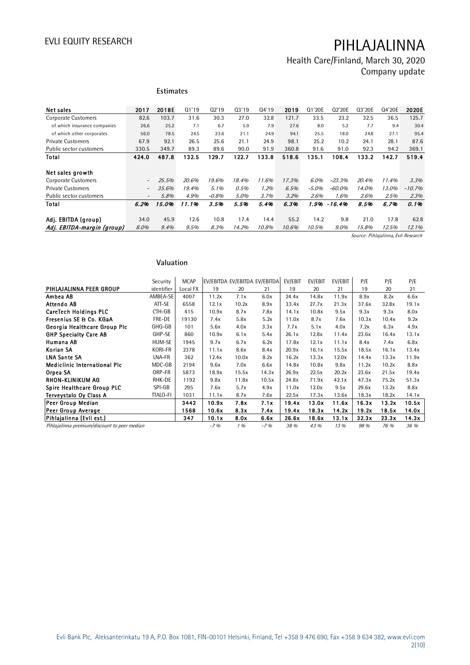## Health Care/Finland, March 30, 2020 Company update

|                              |                          | <b>Estimates</b> |       |          |       |       |       |          |          |        |        |          |
|------------------------------|--------------------------|------------------|-------|----------|-------|-------|-------|----------|----------|--------|--------|----------|
| Net sales                    | 2017                     | 2018E            | 01'19 | 02'19    | 03'19 | 04'19 | 2019  | Q1'20E   | Q2'20E   | Q3'20E | Q4'20E | 2020E    |
| <b>Corporate Customers</b>   | 82.6                     | 103.7            | 31.6  | 30.3     | 27.0  | 32.8  | 121.7 | 33.5     | 23.2     | 32.5   | 36.5   | 125.7    |
|                              |                          |                  |       |          |       |       |       |          |          |        |        |          |
| of which insurance companies | 26.6                     | 25.2             | 7.1   | 6.7      | 5.9   | 7.9   | 27.6  | 8.0      | 5.2      | 7.7    | 9.4    | 30.4     |
| of which other corporates    | 56.0                     | 78.5             | 24.5  | 23.6     | 21.1  | 24.9  | 94.1  | 25.5     | 18.0     | 24.8   | 27.1   | 95.4     |
| <b>Private Customers</b>     | 67.9                     | 92.1             | 26.5  | 25.6     | 21.1  | 24.9  | 98.1  | 25.2     | 10.2     | 24.1   | 28.1   | 87.6     |
| Public sector customers      | 330.5                    | 349.7            | 89.3  | 89.6     | 90.0  | 91.9  | 360.8 | 91.6     | 91.0     | 92.3   | 94.2   | 369.1    |
| Total                        | 424.0                    | 487.8            | 132.5 | 129.7    | 122.7 | 133.8 | 518.6 | 135.1    | 108.4    | 133.2  | 142.7  | 519.4    |
| Net sales growth             |                          |                  |       |          |       |       |       |          |          |        |        |          |
| Corporate Customers          | $\overline{\phantom{a}}$ | 25.5%            | 20.6% | 19.6%    | 18.4% | 11.6% | 17.3% | 6.0%     | $-23.3%$ | 20.4%  | 11.4%  | 3.3%     |
| <b>Private Customers</b>     | $\overline{\phantom{a}}$ | 35.6%            | 19.4% | 5.1%     | 0.5%  | 1.2%  | 6.5%  | $-5.0\%$ | $-60.0%$ | 14.0%  | 13.0%  | $-10.7%$ |
| Public sector customers      | $\overline{\phantom{a}}$ | 5.8%             | 4.9%  | $-0.8\%$ | 5.0%  | 3.7%  | 3.2%  | 2.6%     | 1.6%     | 2.6%   | 2.5%   | 2.3%     |
| Total                        | 6.2%                     | 15.0%            | 11.1% | 3.5%     | 5.5%  | 5.4%  | 6.3%  | 1.9%     | $-16.4%$ | 8.5%   | 6.7%   | 0.1%     |
|                              |                          |                  |       |          |       |       |       |          |          |        |        |          |
| Adj. EBITDA (group)          | 34.0                     | 45.9             | 12.6  | 10.8     | 17.4  | 14.4  | 55.2  | 14.2     | 9.8      | 21.0   | 17.8   | 62.8     |
| Adj. EBITDA-margin (group)   | 8.0%                     | 9.4%             | 9.5%  | 8.3%     | 14.2% | 10.8% | 10.6% | 10.5%    | $9.0\%$  | 15.8%  | 12.5%  | 12.1%    |

Source: Pihlajalinna, Evli Research

### **Valuation**

|                                              | Valuation  |             |       |       |                               |         |         |         |       |       |       |
|----------------------------------------------|------------|-------------|-------|-------|-------------------------------|---------|---------|---------|-------|-------|-------|
|                                              | Security   | <b>MCAP</b> |       |       | EV/EBITDA EV/EBITDA EV/EBITDA | EV/EBIT | EV/EBIT | EV/EBIT | P/E   | P/E   | P/E   |
| PIHLAJALINNA PEER GROUP                      | identifier | Local FX    | 19    | 20    | 21                            | 19      | 20      | 21      | 19    | 20    | 21    |
| Ambea AB                                     | AMBEA-SE   | 4007        | 11.2x | 7.1x  | 6.0x                          | 24.4x   | 14.8x   | 11.9x   | 8.9x  | 8.2x  | 6.6x  |
| Attendo AB                                   | ATT-SE     | 6558        | 12.1x | 10.2x | 8.9x                          | 33.4x   | 27.7x   | 21.3x   | 37.6x | 32.8x | 19.1x |
| <b>CareTech Holdings PLC</b>                 | CTH-GB     | 415         | 10.9x | 8.7x  | 7.8x                          | 14.1x   | 10.8x   | 9.5x    | 9.3x  | 9.3x  | 8.0x  |
| Fresenius SE & Co. KGaA                      | FRE-DE     | 19130       | 7.4x  | 5.8x  | 5.2x                          | 11.0x   | 8.7x    | 7.6x    | 10.3x | 10.4x | 9.2x  |
| Georgia Healthcare Group Plc                 | GHG-GB     | 101         | 5.6x  | 4.0x  | 3.3x                          | 7.7x    | 5.1x    | 4.0x    | 7.2x  | 6.3x  | 4.9x  |
| <b>GHP Specialty Care AB</b>                 | GHP-SE     | 860         | 10.9x | 6.1x  | 5.4x                          | 26.1x   | 12.8x   | 11.4x   | 23.6x | 16.4x | 13.1x |
| Humana AB                                    | HUM-SE     | 1945        | 9.7x  | 6.7x  | 6.2x                          | 17.8x   | 12.1x   | 11.1x   | 8.4x  | 7.4x  | 6.8x  |
| Korian SA                                    | KORI-FR    | 2378        | 11.1x | 8.6x  | 8.4x                          | 20.9x   | 16.1x   | 15.5x   | 18.5x | 16.1x | 13.4x |
| <b>LNA Sante SA</b>                          | LNA-FR     | 362         | 12.4x | 10.0x | 8.2x                          | 16.2x   | 13.3x   | 12.0x   | 14.4x | 13.3x | 11.9x |
| <b>Mediclinic International Plc</b>          | MDC-GB     | 2194        | 9.6x  | 7.0x  | 6.6x                          | 14.8x   | 10.8x   | 9.8x    | 11.2x | 10.2x | 8.8x  |
| Orpea SA                                     | ORP-FR     | 5873        | 18.9x | 15.5x | 14.3x                         | 26.9x   | 22.5x   | 20.2x   | 23.6x | 21.5x | 19.4x |
| <b>RHON-KLINIKUM AG</b>                      | RHK-DE     | 1192        | 9.8x  | 11.8x | 10.5x                         | 24.8x   | 71.9x   | 42.1x   | 47.3x | 75.2x | 51.3x |
| Spire Healthcare Group PLC                   | SPI-GB     | 295         | 7.6x  | 5.7x  | 4.9x                          | 11.0x   | 12.0x   | 9.5x    | 29.6x | 13.2x | 8.8x  |
| Terveystalo Oy Class A                       | TTALO-FI   | 1031        | 11.1x | 8.7x  | 7.6x                          | 22.5x   | 17.3x   | 13.6x   | 18.3x | 18.2x | 14.1x |
| Peer Group Median                            |            | 3442        | 10.9x | 7.8x  | 7.1x                          | 19.4x   | 13.0x   | 11.6x   | 16.3x | 13.2x | 10.5x |
| Peer Group Average                           |            | 1568        | 10.6x | 8.3x  | 7.4x                          | 19.4x   | 18.3x   | 14.2x   | 19.2x | 18.5x | 14.0x |
| Pihlajalinna (Evli est.)                     |            | 347         | 10.1x | 8.0x  | 6.6x                          | 26.6x   | 18.6x   | 13.1x   | 32.3x | 23.3x | 14.3x |
| Pihlajalinna premium/discount to peer median |            |             | $-7%$ | 1%    | $-7%$                         | 38 %    | 43 %    | 13%     | 98 %  | 76 %  | 36 %  |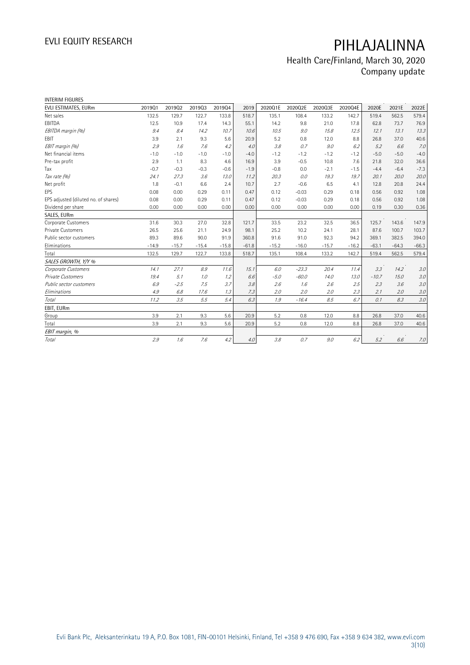## Health Care/Finland, March 30, 2020 Company update

| <b>INTERIM FIGURES</b>               |         |         |         |         |         |         |         |         |         |         |         |         |
|--------------------------------------|---------|---------|---------|---------|---------|---------|---------|---------|---------|---------|---------|---------|
| EVLI ESTIMATES, EURm                 | 201901  | 201902  | 201903  | 201904  | 2019    | 2020Q1E | 2020Q2E | 2020Q3E | 2020Q4E | 2020E   | 2021E   | 2022E   |
| Net sales                            | 132.5   | 129.7   | 122.7   | 133.8   | 518.7   | 135.1   | 108.4   | 133.2   | 142.7   | 519.4   | 562.5   | 579.4   |
| EBITDA                               | 12.5    | 10.9    | 17.4    | 14.3    | 55.1    | 14.2    | 9.8     | 21.0    | 17.8    | 62.8    | 73.7    | 76.9    |
| EBITDA margin (%)                    | 9.4     | 8.4     | 14.2    | 10.7    | 10.6    | 10.5    | 9.0     | 15.8    | 12.5    | 12.1    | 13.1    | 13.3    |
| <b>EBIT</b>                          | 3.9     | 2.1     | 9.3     | 5.6     | 20.9    | 5.2     | 0.8     | 12.0    | 8.8     | 26.8    | 37.0    | 40.6    |
| EBIT margin (%)                      | 2.9     | 1.6     | 7.6     | 4.2     | 4.0     | 3.8     | 0.7     | 9.0     | 6.2     | 5.2     | 6.6     | 7.0     |
| Net financial items                  | $-1.0$  | $-1.0$  | $-1.0$  | $-1.0$  | $-4.0$  | $-1.2$  | $-1.2$  | $-1.2$  | $-1.2$  | $-5.0$  | $-5.0$  | $-4.0$  |
| Pre-tax profit                       | 2.9     | 1.1     | 8.3     | 4.6     | 16.9    | 3.9     | $-0.5$  | 10.8    | 7.6     | 21.8    | 32.0    | 36.6    |
| Tax                                  | $-0.7$  | $-0.3$  | $-0.3$  | $-0.6$  | $-1.9$  | $-0.8$  | 0.0     | $-2.1$  | $-1.5$  | $-4.4$  | $-6.4$  | $-7.3$  |
| Tax rate (%)                         | 24.1    | 27.3    | 3.6     | 13.0    | 11.2    | 20.3    | 0.0     | 19.3    | 19.7    | 20.1    | 20.0    | 20.0    |
| Net profit                           | 1.8     | $-0.1$  | 6.6     | 2.4     | 10.7    | 2.7     | $-0.6$  | 6.5     | 4.1     | 12.8    | 20.8    | 24.4    |
| EPS                                  | 0.08    | 0.00    | 0.29    | 0.11    | 0.47    | 0.12    | $-0.03$ | 0.29    | 0.18    | 0.56    | 0.92    | 1.08    |
| EPS adjusted (diluted no. of shares) | 0.08    | 0.00    | 0.29    | 0.11    | 0.47    | 0.12    | $-0.03$ | 0.29    | 0.18    | 0.56    | 0.92    | 1.08    |
| Dividend per share                   | 0.00    | 0.00    | 0.00    | 0.00    | 0.00    | 0.00    | 0.00    | 0.00    | 0.00    | 0.19    | 0.30    | 0.36    |
| SALES, EURm                          |         |         |         |         |         |         |         |         |         |         |         |         |
| Corporate Customers                  | 31.6    | 30.3    | 27.0    | 32.8    | 121.7   | 33.5    | 23.2    | 32.5    | 36.5    | 125.7   | 143.6   | 147.9   |
| Private Customers                    | 26.5    | 25.6    | 21.1    | 24.9    | 98.1    | 25.2    | 10.2    | 24.1    | 28.1    | 87.6    | 100.7   | 103.7   |
| Public sector customers              | 89.3    | 89.6    | 90.0    | 91.9    | 360.8   | 91.6    | 91.0    | 92.3    | 94.2    | 369.1   | 382.5   | 394.0   |
| Eliminations                         | $-14.9$ | $-15.7$ | $-15.4$ | $-15.8$ | $-61.8$ | $-15.2$ | $-16.0$ | $-15.7$ | $-16.2$ | $-63.1$ | $-64.3$ | $-66.3$ |
| Total                                | 132.5   | 129.7   | 122.7   | 133.8   | 518.7   | 135.1   | 108.4   | 133.2   | 142.7   | 519.4   | 562.5   | 579.4   |
| SALES GROWTH, Y/Y %                  |         |         |         |         |         |         |         |         |         |         |         |         |
| Corporate Customers                  | 14.1    | 27.1    | 8.9     | 11.6    | 15.1    | 6.0     | $-23.3$ | 20.4    | 11.4    | 3.3     | 14.2    | $3.0\,$ |
| Private Customers                    | 19.4    | 5.1     | 1.0     | 1.2     | 6.6     | $-5.0$  | $-60.0$ | 14.0    | 13.0    | $-10.7$ | 15.0    | $3.0\,$ |
| Public sector customers              | 6.9     | $-2.5$  | 7.5     | 3.7     | 3.8     | 2.6     | 1.6     | 2.6     | 2.5     | 2.3     | 3.6     | 3.0     |
| Eliminations                         | 4.9     | 6.8     | 17.6    | 1.3     | 7.3     | 2.0     | 2.0     | 2.0     | 2.3     | 2.1     | 2.0     | 3.0     |
| Total                                | 11.2    | 3.5     | 5.5     | 5.4     | 6.3     | 1.9     | $-16.4$ | 8.5     | 6.7     | 0.1     | 8.3     | 3.0     |
| EBIT, EURm                           |         |         |         |         |         |         |         |         |         |         |         |         |
| Group                                | 3.9     | 2.1     | 9.3     | 5.6     | 20.9    | 5.2     | 0.8     | 12.0    | 8.8     | 26.8    | 37.0    | 40.6    |
| Total                                | 3.9     | 2.1     | 9.3     | 5.6     | 20.9    | 5.2     | 0.8     | 12.0    | 8.8     | 26.8    | 37.0    | 40.6    |
| EBIT margin, %                       |         |         |         |         |         |         |         |         |         |         |         |         |
| Total                                | 2.9     | 1.6     | 7.6     | 4.2     | 4.0     | 3.8     | 0.7     | 9.0     | 6.2     | 5.2     | 6.6     | 7.0     |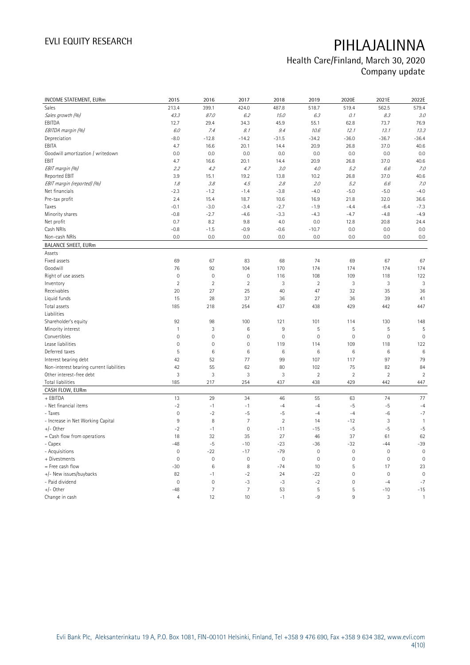## Health Care/Finland, March 30, 2020 Company update

| INCOME STATEMENT, EURm                   | 2015                | 2016                | 2017                | 2018           | 2019           | 2020E           | 2021E          | 2022E          |
|------------------------------------------|---------------------|---------------------|---------------------|----------------|----------------|-----------------|----------------|----------------|
| Sales                                    | 213.4               | 399.1               | 424.0               | 487.8          | 518.7          | 519.4           | 562.5          | 579.4          |
| Sales growth (%)                         | 43.3                | 87.0                | 6.2                 | 15.0           | 6.3            | 0.1             | 8.3            | 3.0            |
| EBITDA                                   | 12.7                | 29.4                | 34.3                | 45.9           | 55.1           | 62.8            | 73.7           | 76.9           |
| EBITDA margin (%)                        | 6.0                 | 7.4                 | 8.1                 | 9.4            | 10.6           | 12.1            | 13.1           | 13.3           |
| Depreciation                             | $-8.0$              | $-12.8$             | $-14.2$             | $-31.5$        | $-34.2$        | $-36.0$         | $-36.7$        | $-36.4$        |
| EBITA                                    | 4.7                 | 16.6                | 20.1                | 14.4           | 20.9           | 26.8            | 37.0           | 40.6           |
| Goodwill amortization / writedown        | 0.0                 | 0.0                 | 0.0                 | 0.0            | 0.0            | 0.0             | 0.0            | 0.0            |
| EBIT                                     | 4.7                 | 16.6                | 20.1                | 14.4           | 20.9           | 26.8            | 37.0           | 40.6           |
| EBIT margin (%)                          | 2.2                 | 4.2                 | 4.7                 | 3.0            | 4.0            | 5.2             | 6.6            | 7.0            |
| Reported EBIT                            | 3.9                 | 15.1                | 19.2                | 13.8           | 10.2           | 26.8            | 37.0           | 40.6           |
| EBIT margin (reported) (%)               | 1.8                 | 3.8                 | 4.5                 | 2.8            | 2.0            | 5.2             | 6.6            | 7.0            |
| Net financials                           | $-2.3$              | $-1.2$              | $-1.4$              | $-3.8$         | $-4.0$         | $-5.0$          | $-5.0$         | $-4.0$         |
| Pre-tax profit                           | 2.4                 | 15.4                | 18.7                | 10.6           | 16.9           | 21.8            | 32.0           | 36.6           |
| Taxes                                    | $-0.1$              | $-3.0$              | $-3.4$              | $-2.7$         | $-1.9$         | $-4.4$          | $-6.4$         | $-7.3$         |
| Minority shares                          | $-0.8$              | $-2.7$              | $-4.6$              | $-3.3$         | $-4.3$         | $-4.7$          | $-4.8$         | $-4.9$         |
| Net profit                               | 0.7                 | 8.2                 | 9.8                 | 4.0            | 0.0            | 12.8            | 20.8           | 24.4           |
| Cash NRIs                                | $-0.8$              | $-1.5$              | $-0.9$              | $-0.6$         | $-10.7$        | 0.0             | 0.0            | 0.0            |
| Non-cash NRIs                            | 0.0                 | 0.0                 | 0.0                 | 0.0            | 0.0            | 0.0             | 0.0            | 0.0            |
| <b>BALANCE SHEET, EURm</b>               |                     |                     |                     |                |                |                 |                |                |
| Assets                                   |                     |                     |                     |                |                |                 |                |                |
| Fixed assets                             | 69                  | 67                  | 83                  | 68             | 74             | 69              | 67             | 67             |
| Goodwill                                 | 76                  | 92                  | 104                 | 170            | 174            | 174             | 174            | 174            |
| Right of use assets                      | $\mathsf{O}\xspace$ | $\mathbf 0$         | $\mathsf{O}\xspace$ | 116            | 108            | 109             | 118            | 122            |
| Inventory                                | $\overline{2}$      | $\overline{2}$      | $\overline{2}$      | 3              | $\overline{2}$ | $\mathbf{3}$    | $\sqrt{3}$     | 3              |
| Receivables                              | 20                  | 27                  | 25                  | 40             | 47             | 32              | 35             | 36             |
| Liquid funds                             | 15                  | 28                  | 37                  | 36             | 27             | 36              | 39             | 41             |
| Total assets                             | 185                 | 218                 | 254                 | 437            | 438            | 429             | 442            | 447            |
| Liabilities                              |                     |                     |                     |                |                |                 |                |                |
| Shareholder's equity                     | 92                  | 98                  | 100                 | 121            | 101            | 114             | 130            | 148            |
| Minority interest                        | $\mathbf{1}$        | $\sqrt{3}$          | 6                   | 9              | 5              | 5               | 5              | 5              |
| Convertibles                             | $\mathsf{O}\xspace$ | $\mathbf 0$         | $\mathbf 0$         | $\mathbf 0$    | $\mathbf 0$    | $\mathbf 0$     | $\mathbf 0$    | $\mathbf 0$    |
| Lease liabilities                        | $\overline{0}$      | $\mathsf{O}\xspace$ | $\mathbb O$         | 119            | 114            | 109             | 118            | 122            |
| Deferred taxes                           | 5                   | $6\phantom{1}6$     | $\,6$               | 6              | 6              | $6\phantom{1}6$ | $6\,$          | 6              |
| Interest bearing debt                    | 42                  | 52                  | 77                  | 99             | 107            | 117             | 97             | 79             |
| Non-interest bearing current liabilities | 42                  | 55                  | 62                  | 80             | 102            | 75              | 82             | 84             |
| Other interest-free debt                 | 3                   | $\sqrt{3}$          | 3                   | 3              | $\overline{2}$ | $\overline{2}$  | $\overline{2}$ | $\overline{2}$ |
| Total liabilities                        | 185                 | 217                 | 254                 | 437            | 438            | 429             | 442            | 447            |
| CASH FLOW, EURm                          |                     |                     |                     |                |                |                 |                |                |
| + EBITDA                                 | 13                  | 29                  | 34                  | 46             | 55             | 63              | 74             | 77             |
| - Net financial items                    | $-2$                | $-1$                | $-1$                | $-4$           | $-4$           | $-5$            | $-5$           | $-4$           |
| - Taxes                                  | $\mathsf{O}\xspace$ | $-2$                | $-5$                | $-5$           | $-4$           | $-4$            | $-6$           | $-7$           |
| - Increase in Net Working Capital        | $\,9$               | 8                   | $\overline{7}$      | $\overline{2}$ | 14             | $-12$           | 3              | $\mathbf{1}$   |
| $+/-$ Other                              | $-2$                | $-1$                | $\mathsf{O}\xspace$ | $-11$          | $-15$          | $-5$            | $-5$           | $-5$           |
| $=$ Cash flow from operations            | 18                  | 32                  | 35                  | 27             | 46             | 37              | 61             | 62             |
| - Capex                                  | $-48$               | $-5$                | $-10$               | $-23$          | $-36$          | $-32$           | $-44$          | $-39$          |
| - Acquisitions                           | $\mathbf 0$         | $-22$               | $-17$               | $-79$          | $\mathbf 0$    | $\mathbf 0$     | $\mathbf 0$    | $\mathbf 0$    |
| + Divestments                            | $\mathbf 0$         | $\mathbf 0$         | $\mathsf{O}\xspace$ | $\mathbf 0$    | $\mathbf 0$    | $\mathbf 0$     | $\mathbf 0$    | $\mathbf 0$    |
| = Free cash flow                         | $-30$               | $\,6$               | 8                   | $-74$          | 10             | 5               | 17             | 23             |
| +/- New issues/buybacks                  | 82                  | $-1$                | $-2$                | 24             | $-22$          | $\mathbf 0$     | $\mathbf{0}$   | $\mathbf 0$    |
| - Paid dividend                          | $\mathbf 0$         | $\mathbf 0$         | $-3$                | $-3$           | $-2$           | $\mathbf 0$     | $-4$           | $-7$           |
| $+/-$ Other                              | $-48$               | $\overline{7}$      | $\overline{7}$      | 53             | 5              | 5               | $-10$          | $-15$          |
| Change in cash                           | $\overline{4}$      | 12                  | 10                  | $-1$           | $-9$           | 9               | 3              | $\mathbf{1}$   |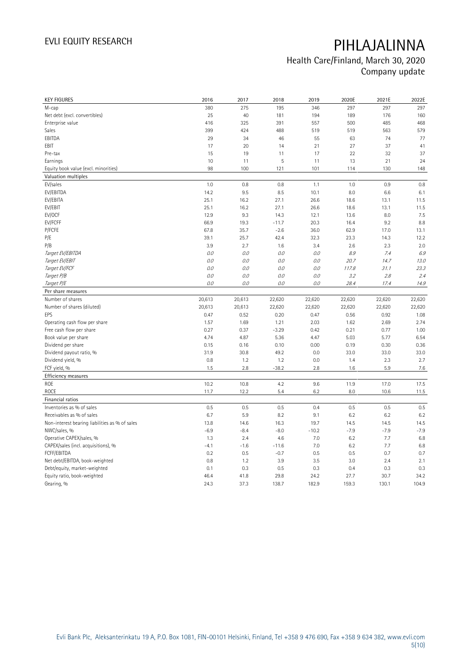## Health Care/Finland, March 30, 2020 Company update

| <b>KEY FIGURES</b>                             | 2016   | 2017   | 2018    | 2019    | 2020E  | 2021E  | 2022E  |
|------------------------------------------------|--------|--------|---------|---------|--------|--------|--------|
| M-cap                                          | 380    | 275    | 195     | 346     | 297    | 297    | 297    |
| Net debt (excl. convertibles)                  | 25     | 40     | 181     | 194     | 189    | 176    | 160    |
| Enterprise value                               | 416    | 325    | 391     | 557     | 500    | 485    | 468    |
| <b>Sales</b>                                   | 399    | 424    | 488     | 519     | 519    | 563    | 579    |
| EBITDA                                         | 29     | 34     | 46      | 55      | 63     | 74     | 77     |
| EBIT                                           | 17     | 20     | 14      | 21      | 27     | 37     | 41     |
| Pre-tax                                        | 15     | 19     | 11      | 17      | 22     | 32     | 37     |
| Earnings                                       | 10     | 11     | 5       | 11      | 13     | 21     | 24     |
| Equity book value (excl. minorities)           | 98     | 100    | 121     | 101     | 114    | 130    | 148    |
| Valuation multiples                            |        |        |         |         |        |        |        |
| EV/sales                                       | 1.0    | 0.8    | 0.8     | 1.1     | 1.0    | 0.9    | 0.8    |
| EV/EBITDA                                      | 14.2   | 9.5    | 8.5     | 10.1    | 8.0    | 6.6    | 6.1    |
| EV/EBITA                                       | 25.1   | 16.2   | 27.1    | 26.6    | 18.6   | 13.1   | 11.5   |
| EV/EBIT                                        | 25.1   | 16.2   | 27.1    | 26.6    | 18.6   | 13.1   | 11.5   |
| EV/OCF                                         | 12.9   | 9.3    | 14.3    | 12.1    | 13.6   | 8.0    | 7.5    |
| EV/FCFF                                        | 66.9   | 19.3   | $-11.7$ | 20.3    | 16.4   | 9.2    | 8.8    |
| P/FCFE                                         | 67.8   | 35.7   | $-2.6$  | 36.0    | 62.9   | 17.0   | 13.1   |
| P/E                                            | 39.1   | 25.7   | 42.4    | 32.3    | 23.3   | 14.3   | 12.2   |
| P/B                                            | 3.9    | 2.7    | 1.6     | 3.4     | 2.6    | 2.3    | 2.0    |
| Target EV/EBITDA                               | 0.0    | 0.0    | $0.0\,$ | 0.0     | 8.9    | 7.4    | 6.9    |
| Target EV/EBIT                                 | 0.0    | 0.0    | 0.0     | 0.0     | 20.7   | 14.7   | 13.0   |
| Target EV/FCF                                  | 0.0    | 0.0    | 0.0     | 0.0     | 117.8  | 31.1   | 23.3   |
| Target P/B                                     | 0.0    | 0.0    | 0.0     | 0.0     | 3.2    | 2.8    | 2.4    |
| Target P/E                                     | 0.0    | 0.0    | 0.0     | 0.0     | 28.4   | 17.4   | 14.9   |
| Per share measures                             |        |        |         |         |        |        |        |
| Number of shares                               | 20,613 | 20,613 | 22,620  | 22,620  | 22,620 | 22,620 | 22,620 |
| Number of shares (diluted)                     | 20,613 | 20,613 | 22,620  | 22,620  | 22,620 | 22,620 | 22,620 |
| EPS                                            | 0.47   | 0.52   | 0.20    | 0.47    | 0.56   | 0.92   | 1.08   |
| Operating cash flow per share                  | 1.57   | 1.69   | 1.21    | 2.03    | 1.62   | 2.69   | 2.74   |
| Free cash flow per share                       | 0.27   | 0.37   | $-3.29$ | 0.42    | 0.21   | 0.77   | 1.00   |
| Book value per share                           | 4.74   | 4.87   | 5.36    | 4.47    | 5.03   | 5.77   | 6.54   |
| Dividend per share                             | 0.15   | 0.16   | 0.10    | 0.00    | 0.19   | 0.30   | 0.36   |
| Dividend payout ratio, %                       | 31.9   | 30.8   | 49.2    | 0.0     | 33.0   | 33.0   | 33.0   |
| Dividend yield, %                              | 0.8    | 1.2    | 1.2     | 0.0     | 1.4    | 2.3    | 2.7    |
| FCF yield, %                                   | 1.5    | 2.8    | $-38.2$ | 2.8     | 1.6    | 5.9    | 7.6    |
| Efficiency measures                            |        |        |         |         |        |        |        |
| ROE                                            | 10.2   | 10.8   | 4.2     | 9.6     | 11.9   | 17.0   | 17.5   |
| <b>ROCE</b>                                    | 11.7   | 12.2   | 5.4     | 6.2     | 8.0    | 10.6   | 11.5   |
| Financial ratios                               |        |        |         |         |        |        |        |
| Inventories as % of sales                      | 0.5    | 0.5    | 0.5     | 0.4     | 0.5    | 0.5    | 0.5    |
| Receivables as % of sales                      | 6.7    | 5.9    | 8.2     | 9.1     | 6.2    | 6.2    | 6.2    |
| Non-interest bearing liabilities as % of sales | 13.8   | 14.6   | 16.3    | 19.7    | 14.5   | 14.5   | 14.5   |
| NWC/sales, %                                   | $-6.9$ | $-8.4$ | $-8.0$  | $-10.2$ | $-7.9$ | $-7.9$ | $-7.9$ |
| Operative CAPEX/sales, %                       | 1.3    | 2.4    | 4.6     | 7.0     | 6.2    | 7.7    | 6.8    |
| CAPEX/sales (incl. acquisitions), %            | $-4.1$ | $-1.6$ | $-11.6$ | 7.0     | 6.2    | 7.7    | 6.8    |
| FCFF/EBITDA                                    | 0.2    | 0.5    | $-0.7$  | 0.5     | 0.5    | 0.7    | 0.7    |
| Net debt/EBITDA, book-weighted                 | 0.8    | 1.2    | 3.9     | 3.5     | 3.0    | 2.4    | 2.1    |
| Debt/equity, market-weighted                   | 0.1    | 0.3    | 0.5     | 0.3     | 0.4    | 0.3    | 0.3    |
| Equity ratio, book-weighted                    | 46.4   | 41.8   | 29.8    | 24.2    | 27.7   | 30.7   | 34.2   |
| Gearing, %                                     | 24.3   | 37.3   | 138.7   | 182.9   | 159.3  | 130.1  | 104.9  |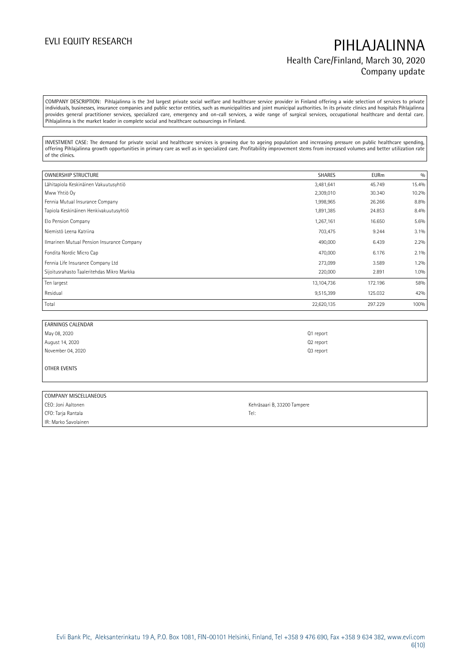## EVLI EQUITY RESEARCH **PIHLAJALINNA** Health Care/Finland, March 30, 2020 Company update

COMPANY DESCRIPTION: Pihlajalinna is the 3rd largest private social welfare and healthcare service provider in Finland offering a wide selection of services to private individuals, businesses, insurance companies and public sector entities, such as municipalities and joint municipal authorities. In its private clinics and hospitals Pihlajalinna provides general practitioner services, specialized care, emergency and on-call services, a wide range of surgical services, occupational healthcare and dental care. Pihlajalinna is the market leader in complete social and healthcare outsourcings in Finland.

INVESTMENT CASE: The demand for private social and healthcare services is growing due to ageing population and increasing pressure on public healthcare spending, offering Pihlajalinna growth opportunities in primary care as well as in specialized care. Profitability improvement stems from increased volumes and better utilization rate of the clinics.

| <b>OWNERSHIP STRUCTURE</b>                 | <b>SHARES</b> | <b>EURm</b> | 0/0   |
|--------------------------------------------|---------------|-------------|-------|
| Lähitapiola Keskinäinen Vakuutusyhtiö      | 3,481,641     | 45.749      | 15.4% |
| Mww Yhtiö Oy                               | 2,309,010     | 30.340      | 10.2% |
| Fennia Mutual Insurance Company            | 1,998,965     | 26.266      | 8.8%  |
| Tapiola Keskinäinen Henkivakuutusyhtiö     | 1,891,385     | 24.853      | 8.4%  |
| Elo Pension Company                        | 1,267,161     | 16.650      | 5.6%  |
| Niemistö Leena Katriina                    | 703,475       | 9.244       | 3.1%  |
| Ilmarinen Mutual Pension Insurance Company | 490,000       | 6.439       | 2.2%  |
| Fondita Nordic Micro Cap                   | 470,000       | 6.176       | 2.1%  |
| Fennia Life Insurance Company Ltd          | 273,099       | 3.589       | 1.2%  |
| Sijoitusrahasto Taaleritehdas Mikro Markka | 220,000       | 2.891       | 1.0%  |
| Ten largest                                | 13,104,736    | 172.196     | 58%   |
| Residual                                   | 9,515,399     | 125.032     | 42%   |
| Total                                      | 22,620,135    | 297.229     | 100%  |

| EARNINGS CALENDAR |                       |
|-------------------|-----------------------|
| May 08, 2020      | Q1 report             |
| August 14, 2020   | Q <sub>2</sub> report |
| November 04, 2020 | Q3 report             |

OTHER EVENTS

| COMPANY MISCELLANEOUS |                             |
|-----------------------|-----------------------------|
| CEO: Joni Aaltonen    | Kehräsaari B, 33200 Tampere |
| CFO: Tarja Rantala    | Tel:                        |
| IR: Marko Savolainen  |                             |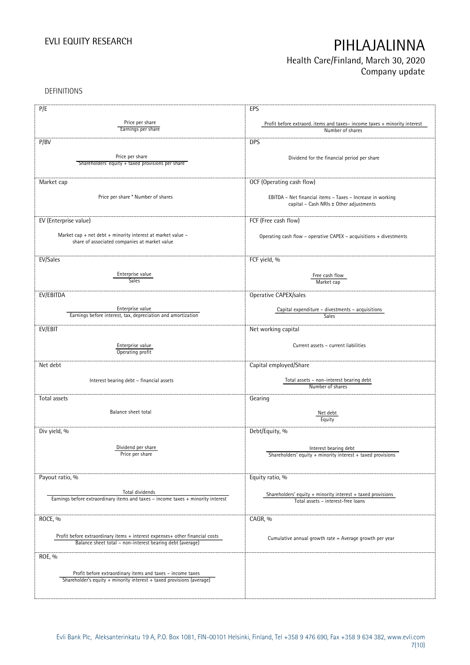## EVLI EQUITY RESEARCH **PIHLAJALINNA** Health Care/Finland, March 30, 2020

Company update

DEFINITIONS

| P/E<br>EPS<br>Price per share<br>Profit before extraord. items and taxes-income taxes + minority interest<br>Earnings per share<br>Number of shares<br><b>DPS</b><br>P/BV<br>Price per share<br>Dividend for the financial period per share<br>Shareholders' equity + taxed provisions per share<br>OCF (Operating cash flow)<br>Market cap |  |
|---------------------------------------------------------------------------------------------------------------------------------------------------------------------------------------------------------------------------------------------------------------------------------------------------------------------------------------------|--|
|                                                                                                                                                                                                                                                                                                                                             |  |
|                                                                                                                                                                                                                                                                                                                                             |  |
|                                                                                                                                                                                                                                                                                                                                             |  |
|                                                                                                                                                                                                                                                                                                                                             |  |
|                                                                                                                                                                                                                                                                                                                                             |  |
|                                                                                                                                                                                                                                                                                                                                             |  |
|                                                                                                                                                                                                                                                                                                                                             |  |
|                                                                                                                                                                                                                                                                                                                                             |  |
|                                                                                                                                                                                                                                                                                                                                             |  |
|                                                                                                                                                                                                                                                                                                                                             |  |
|                                                                                                                                                                                                                                                                                                                                             |  |
| Price per share * Number of shares                                                                                                                                                                                                                                                                                                          |  |
| EBITDA - Net financial items - Taxes - Increase in working<br>capital - Cash NRIs ± Other adjustments                                                                                                                                                                                                                                       |  |
|                                                                                                                                                                                                                                                                                                                                             |  |
|                                                                                                                                                                                                                                                                                                                                             |  |
| EV (Enterprise value)<br>FCF (Free cash flow)                                                                                                                                                                                                                                                                                               |  |
|                                                                                                                                                                                                                                                                                                                                             |  |
| Market cap + net debt + minority interest at market value -<br>Operating cash flow - operative CAPEX - acquisitions + divestments<br>share of associated companies at market value                                                                                                                                                          |  |
|                                                                                                                                                                                                                                                                                                                                             |  |
|                                                                                                                                                                                                                                                                                                                                             |  |
| EV/Sales<br>FCF yield, %                                                                                                                                                                                                                                                                                                                    |  |
|                                                                                                                                                                                                                                                                                                                                             |  |
| Enterprise value<br>Free cash flow                                                                                                                                                                                                                                                                                                          |  |
| Sales<br>Market cap                                                                                                                                                                                                                                                                                                                         |  |
|                                                                                                                                                                                                                                                                                                                                             |  |
| EV/EBITDA<br>Operative CAPEX/sales                                                                                                                                                                                                                                                                                                          |  |
|                                                                                                                                                                                                                                                                                                                                             |  |
| Enterprise value<br>Capital expenditure - divestments - acquisitions<br>Earnings before interest, tax, depreciation and amortization                                                                                                                                                                                                        |  |
| Sales                                                                                                                                                                                                                                                                                                                                       |  |
| EV/EBIT<br>Net working capital                                                                                                                                                                                                                                                                                                              |  |
|                                                                                                                                                                                                                                                                                                                                             |  |
| Current assets - current liabilities                                                                                                                                                                                                                                                                                                        |  |
| Enterprise value<br>Operating profit                                                                                                                                                                                                                                                                                                        |  |
|                                                                                                                                                                                                                                                                                                                                             |  |
| Capital employed/Share<br>Net debt                                                                                                                                                                                                                                                                                                          |  |
|                                                                                                                                                                                                                                                                                                                                             |  |
| Total assets - non-interest bearing debt<br>Interest bearing debt - financial assets                                                                                                                                                                                                                                                        |  |
| Number of shares                                                                                                                                                                                                                                                                                                                            |  |
|                                                                                                                                                                                                                                                                                                                                             |  |
| Total assets<br>Gearing                                                                                                                                                                                                                                                                                                                     |  |
| Balance sheet total                                                                                                                                                                                                                                                                                                                         |  |
| Net debt<br>Equity                                                                                                                                                                                                                                                                                                                          |  |
|                                                                                                                                                                                                                                                                                                                                             |  |
| Debt/Equity, %<br>Div yield, %                                                                                                                                                                                                                                                                                                              |  |
|                                                                                                                                                                                                                                                                                                                                             |  |
| Dividend per share<br>Interest bearing debt                                                                                                                                                                                                                                                                                                 |  |
| Price per share<br>Shareholders' equity $+$ minority interest $+$ taxed provisions                                                                                                                                                                                                                                                          |  |
|                                                                                                                                                                                                                                                                                                                                             |  |
|                                                                                                                                                                                                                                                                                                                                             |  |
| Payout ratio, %<br>Equity ratio, %                                                                                                                                                                                                                                                                                                          |  |
|                                                                                                                                                                                                                                                                                                                                             |  |
| Total dividends<br>Shareholders' equity + minority interest + taxed provisions                                                                                                                                                                                                                                                              |  |
| Earnings before extraordinary items and taxes - income taxes + minority interest<br>Total assets - interest-free loans                                                                                                                                                                                                                      |  |
|                                                                                                                                                                                                                                                                                                                                             |  |
|                                                                                                                                                                                                                                                                                                                                             |  |
| ROCE, %<br>CAGR, %                                                                                                                                                                                                                                                                                                                          |  |
|                                                                                                                                                                                                                                                                                                                                             |  |
| Profit before extraordinary items + interest expenses+ other financial costs<br>Cumulative annual growth rate = Average growth per year                                                                                                                                                                                                     |  |
| Balance sheet total - non-interest bearing debt (average)                                                                                                                                                                                                                                                                                   |  |
|                                                                                                                                                                                                                                                                                                                                             |  |
| ROE, %                                                                                                                                                                                                                                                                                                                                      |  |
|                                                                                                                                                                                                                                                                                                                                             |  |
|                                                                                                                                                                                                                                                                                                                                             |  |
| Profit before extraordinary items and taxes - income taxes                                                                                                                                                                                                                                                                                  |  |
| Shareholder's equity + minority interest + taxed provisions (average)                                                                                                                                                                                                                                                                       |  |
|                                                                                                                                                                                                                                                                                                                                             |  |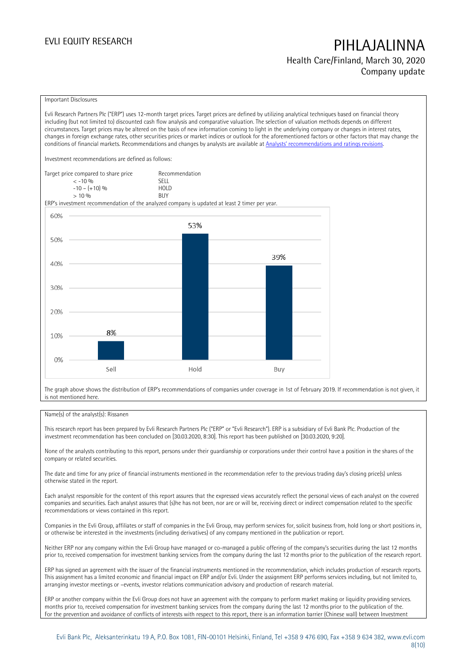## EVLI EQUITY RESEARCH PIHLAJALINNA Health Care/Finland, March 30, 2020 Company update

### Important Disclosures

Evli Research Partners Plc ("ERP") uses 12-month target prices. Target prices are defined by utilizing analytical techniques based on financial theory including (but not limited to) discounted cash flow analysis and comparative valuation. The selection of valuation methods depends on different circumstances. Target prices may be altered on the basis of new information coming to light in the underlying company or changes in interest rates, changes in foreign exchange rates, other securities prices or market indices or outlook for the aforementioned factors or other factors that may change the conditions of financial markets. Recommendations and changes by analysts are available at [Analysts' recommendations and ratings revisions](https://research.evli.com/JasperAllModels.action?authParam=key;461&authParam=x;G3rNagWrtf7K&authType=3).

Investment recommendations are defined as follows:

| Target price compared to share price | Recommendation                |
|--------------------------------------|-------------------------------|
| $<-10.96$                            | <b>SELL</b>                   |
| $-10 - (+10)$ %                      | H <sub>O</sub> I <sub>D</sub> |
| $> 10\%$                             | <b>BUY</b>                    |

ERP's investment recommendation of the analyzed company is updated at least 2 timer per year.



The graph above shows the distribution of ERP's recommendations of companies under coverage in 1st of February 2019. If recommendation is not given, it is not mentioned here.

### Name(s) of the analyst(s): Rissanen

This research report has been prepared by Evli Research Partners Plc ("ERP" or "Evli Research"). ERP is a subsidiary of Evli Bank Plc. Production of the investment recommendation has been concluded on [30.03.2020, 8:30]. This report has been published on [30.03.2020, 9:20].

None of the analysts contributing to this report, persons under their guardianship or corporations under their control have a position in the shares of the company or related securities.

The date and time for any price of financial instruments mentioned in the recommendation refer to the previous trading day's closing price(s) unless otherwise stated in the report.

Each analyst responsible for the content of this report assures that the expressed views accurately reflect the personal views of each analyst on the covered companies and securities. Each analyst assures that (s)he has not been, nor are or will be, receiving direct or indirect compensation related to the specific recommendations or views contained in this report.

Companies in the Evli Group, affiliates or staff of companies in the Evli Group, may perform services for, solicit business from, hold long or short positions in, or otherwise be interested in the investments (including derivatives) of any company mentioned in the publication or report.

Neither ERP nor any company within the Evli Group have managed or co-managed a public offering of the company's securities during the last 12 months prior to, received compensation for investment banking services from the company during the last 12 months prior to the publication of the research report.

ERP has signed an agreement with the issuer of the financial instruments mentioned in the recommendation, which includes production of research reports. This assignment has a limited economic and financial impact on ERP and/or Evli. Under the assignment ERP performs services including, but not limited to, arranging investor meetings or –events, investor relations communication advisory and production of research material.

ERP or another company within the Evli Group does not have an agreement with the company to perform market making or liquidity providing services. months prior to, received compensation for investment banking services from the company during the last 12 months prior to the publication of the. For the prevention and avoidance of conflicts of interests with respect to this report, there is an information barrier (Chinese wall) between Investment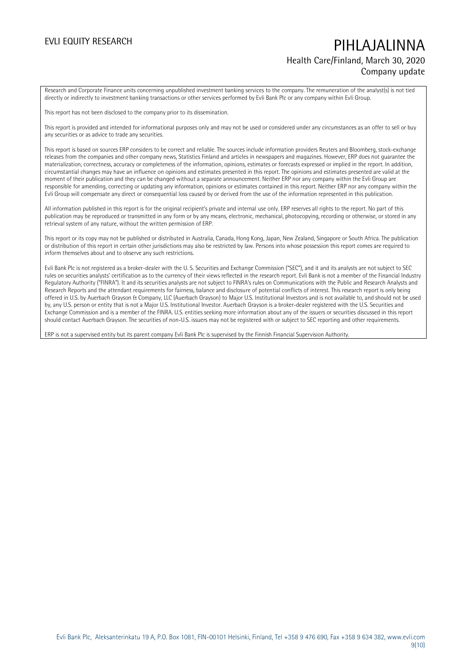## EVLI EQUITY RESEARCH PIHLAJALINNA Health Care/Finland, March 30, 2020 Company update

Research and Corporate Finance units concerning unpublished investment banking services to the company. The remuneration of the analyst(s) is not tied directly or indirectly to investment banking transactions or other services performed by Evli Bank Plc or any company within Evli Group.

This report has not been disclosed to the company prior to its dissemination.

This report is provided and intended for informational purposes only and may not be used or considered under any circumstances as an offer to sell or buy any securities or as advice to trade any securities.

This report is based on sources ERP considers to be correct and reliable. The sources include information providers Reuters and Bloomberg, stock-exchange releases from the companies and other company news, Statistics Finland and articles in newspapers and magazines. However, ERP does not guarantee the materialization, correctness, accuracy or completeness of the information, opinions, estimates or forecasts expressed or implied in the report. In addition, circumstantial changes may have an influence on opinions and estimates presented in this report. The opinions and estimates presented are valid at the moment of their publication and they can be changed without a separate announcement. Neither ERP nor any company within the Evli Group are responsible for amending, correcting or updating any information, opinions or estimates contained in this report. Neither ERP nor any company within the Evli Group will compensate any direct or consequential loss caused by or derived from the use of the information represented in this publication.

All information published in this report is for the original recipient's private and internal use only. ERP reserves all rights to the report. No part of this publication may be reproduced or transmitted in any form or by any means, electronic, mechanical, photocopying, recording or otherwise, or stored in any retrieval system of any nature, without the written permission of ERP.

This report or its copy may not be published or distributed in Australia, Canada, Hong Kong, Japan, New Zealand, Singapore or South Africa. The publication or distribution of this report in certain other jurisdictions may also be restricted by law. Persons into whose possession this report comes are required to inform themselves about and to observe any such restrictions.

Evli Bank Plc is not registered as a broker-dealer with the U. S. Securities and Exchange Commission ("SEC"), and it and its analysts are not subject to SEC rules on securities analysts' certification as to the currency of their views reflected in the research report. Evli Bank is not a member of the Financial Industry Regulatory Authority ("FINRA"). It and its securities analysts are not subject to FINRA's rules on Communications with the Public and Research Analysts and Research Reports and the attendant requirements for fairness, balance and disclosure of potential conflicts of interest. This research report is only being offered in U.S. by Auerbach Grayson & Company, LLC (Auerbach Grayson) to Major U.S. Institutional Investors and is not available to, and should not be used by, any U.S. person or entity that is not a Major U.S. Institutional Investor. Auerbach Grayson is a broker-dealer registered with the U.S. Securities and Exchange Commission and is a member of the FINRA. U.S. entities seeking more information about any of the issuers or securities discussed in this report should contact Auerbach Grayson. The securities of non-U.S. issuers may not be registered with or subject to SEC reporting and other requirements.

ERP is not a supervised entity but its parent company Evli Bank Plc is supervised by the Finnish Financial Supervision Authority.